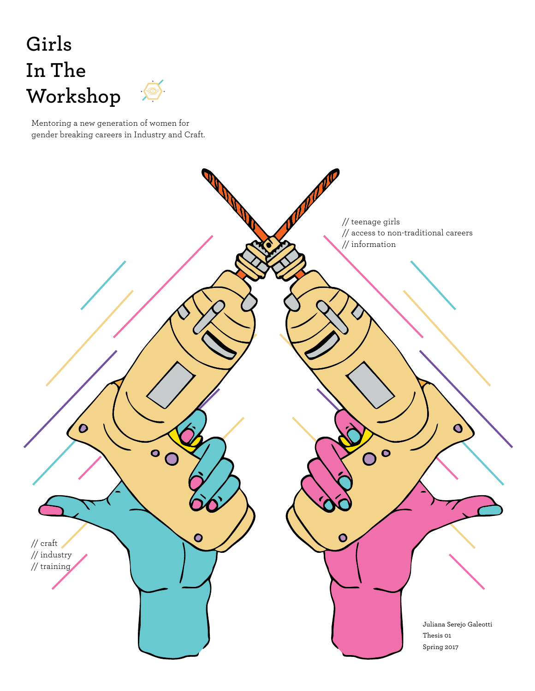# **Girls In The Workshop**



Mentoring a new generation of women for gender breaking careers in Industry and Craft.

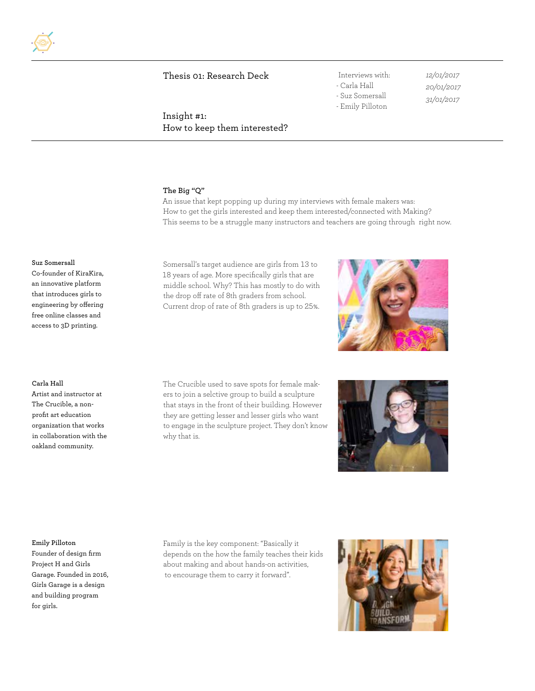Insight #1: How to keep them interested?

# - Carla Hall - Suz Somersall - Emily Pilloton

*12/01/2017 20/01/2017 31/01/2017*

# **The Big "Q"**

An issue that kept popping up during my interviews with female makers was: How to get the girls interested and keep them interested/connected with Making? This seems to be a struggle many instructors and teachers are going through right now.

#### **Suz Somersall**

Co-founder of KiraKira, an innovative platform that introduces girls to engineering by offering free online classes and access to 3D printing.

**Carla Hall**

Artist and instructor at The Crucible, a nonprofit art education organization that works in collaboration with the oakland community.

Somersall's target audience are girls from 13 to 18 years of age. More specifically girls that are middle school. Why? This has mostly to do with the drop off rate of 8th graders from school. Current drop of rate of 8th graders is up to 25%.

The Crucible used to save spots for female makers to join a selctive group to build a sculpture that stays in the front of their building. However they are getting lesser and lesser girls who want to engage in the sculpture project. They don't know why that is.





#### **Emily Pilloton**

Founder of design firm Project H and Girls Garage. Founded in 2016, Girls Garage is a design and building program for girls.

Family is the key component: "Basically it depends on the how the family teaches their kids about making and about hands-on activities, to encourage them to carry it forward".

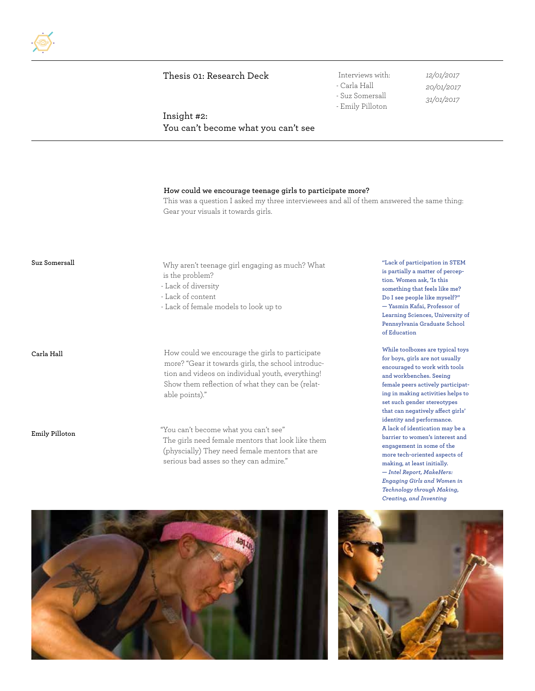# - Carla Hall - Suz Somersall

*12/01/2017*

- Emily Pilloton

*20/01/2017 31/01/2017*

Insight #2: You can't become what you can't see

#### **How could we encourage teenage girls to participate more?**

This was a question I asked my three interviewees and all of them answered the same thing: Gear your visuals it towards girls.

**Suz Somersall**

Why aren't teenage girl engaging as much? What is the problem?

- Lack of diversity

- Lack of content

- Lack of female models to look up to

**Carla Hall**

**Emily Pilloton**

How could we encourage the girls to participate more? "Gear it towards girls, the school introduction and videos on individual youth, everything! Show them reflection of what they can be (relatable points)."

"You can't become what you can't see" The girls need female mentors that look like them (physcially) They need female mentors that are serious bad asses so they can admire."

**"Lack of participation in STEM is partially a matter of perception. Women ask, 'Is this something that feels like me? Do I see people like myself?" — Yasmin Kafai, Professor of Learning Sciences, University of Pennsylvania Graduate School of Education**

**While toolboxes are typical toys for boys, girls are not usually encouraged to work with tools and workbenches. Seeing female peers actively participating in making activities helps to set such gender stereotypes that can negatively affect girls' identity and performance. A lack of identication may be a barrier to women's interest and engagement in some of the more tech-oriented aspects of making, at least initially. —** *Intel Report, MakeHers: Engaging Girls and Women in Technology through Making, Creating, and Inventing*



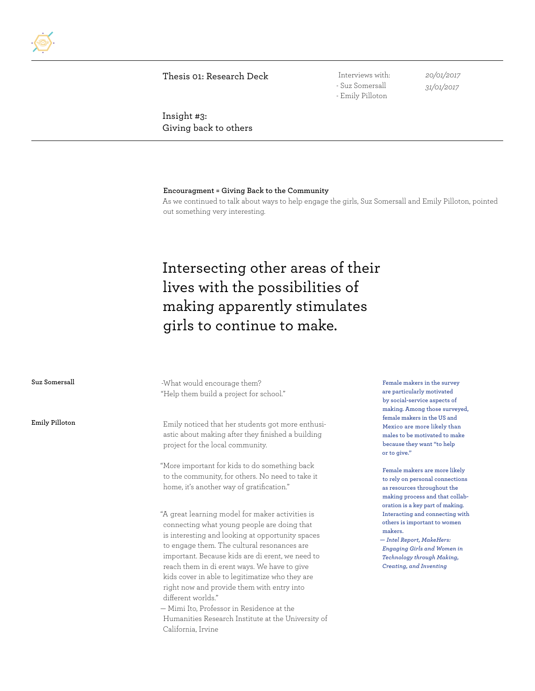- Suz Somersall - Emily Pilloton

*20/01/2017 31/01/2017*

Insight #3: Giving back to others

#### **Encouragment = Giving Back to the Community**

As we continued to talk about ways to help engage the girls, Suz Somersall and Emily Pilloton, pointed out something very interesting.

# Intersecting other areas of their lives with the possibilities of making apparently stimulates girls to continue to make.

| Suz Somersall  | -What would encourage them?<br>"Help them build a project for school."                                                                                                                                                                                                                                                                                                                                                                                                                                                                                                                                                                                                                                                                                             | Female makers in the survey<br>are particularly motivated<br>by social-service aspects of<br>making. Among those surveyed,                                                                             |
|----------------|--------------------------------------------------------------------------------------------------------------------------------------------------------------------------------------------------------------------------------------------------------------------------------------------------------------------------------------------------------------------------------------------------------------------------------------------------------------------------------------------------------------------------------------------------------------------------------------------------------------------------------------------------------------------------------------------------------------------------------------------------------------------|--------------------------------------------------------------------------------------------------------------------------------------------------------------------------------------------------------|
| Emily Pilloton | Emily noticed that her students got more enthusi-<br>astic about making after they finished a building<br>project for the local community.                                                                                                                                                                                                                                                                                                                                                                                                                                                                                                                                                                                                                         | female makers in the US and<br>Mexico are more likely than<br>males to be motivated to make<br>because they want "to help<br>or to give."                                                              |
|                | "More important for kids to do something back<br>to the community, for others. No need to take it<br>home, it's another way of gratification."                                                                                                                                                                                                                                                                                                                                                                                                                                                                                                                                                                                                                     | Female makers are more likely<br>to rely on personal connections<br>as resources throughout the<br>making process and that collab-<br>oration is a key part of making.                                 |
|                | "A great learning model for maker activities is<br>connecting what young people are doing that<br>is interesting and looking at opportunity spaces<br>to engage them. The cultural resonances are<br>important. Because kids are di erent, we need to<br>reach them in di erent ways. We have to give<br>kids cover in able to legitimatize who they are<br>right now and provide them with entry into<br>different worlds."<br>$\mathbf{M}$ $\mathbf{L}$ $\mathbf{L}$ $\mathbf{L}$ $\mathbf{L}$ $\mathbf{L}$ $\mathbf{L}$ $\mathbf{L}$ $\mathbf{L}$ $\mathbf{L}$ $\mathbf{L}$ $\mathbf{L}$ $\mathbf{L}$ $\mathbf{L}$ $\mathbf{L}$ $\mathbf{L}$ $\mathbf{L}$ $\mathbf{L}$ $\mathbf{L}$ $\mathbf{L}$ $\mathbf{L}$ $\mathbf{L}$ $\mathbf{L}$ $\mathbf{L}$ $\mathbf{$ | Interacting and connecting with<br>others is important to women<br>makers.<br>- Intel Report, MakeHers:<br><b>Engaging Girls and Women in</b><br>Technology through Making,<br>Creating, and Inventing |

— Mimi Ito, Professor in Residence at the Humanities Research Institute at the University of California, Irvine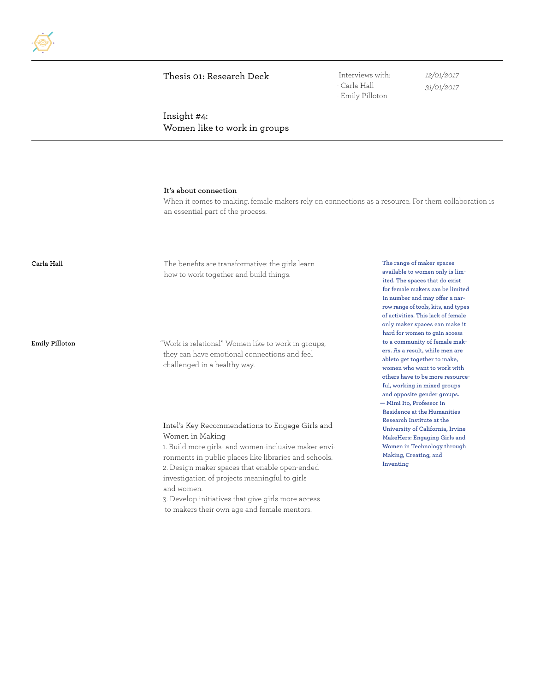- Carla Hall - Emily Pilloton *12/01/2017 31/01/2017*

Insight #4: Women like to work in groups

#### **It's about connection**

When it comes to making, female makers rely on connections as a resource. For them collaboration is an essential part of the process.

**Carla Hall**

The benefits are transformative: the girls learn how to work together and build things.

**Emily Pilloton**

"Work is relational" Women like to work in groups, they can have emotional connections and feel challenged in a healthy way.

#### Intel's Key Recommendations to Engage Girls and Women in Making

1. Build more girls- and women-inclusive maker environments in public places like libraries and schools. 2. Design maker spaces that enable open-ended investigation of projects meaningful to girls and women.

3. Develop initiatives that give girls more access to makers their own age and female mentors.

**The range of maker spaces available to women only is limited. The spaces that do exist for female makers can be limited in number and may offer a narrow range of tools, kits, and types of activities. This lack of female only maker spaces can make it hard for women to gain access to a community of female makers. As a result, while men are ableto get together to make, women who want to work with others have to be more resourceful, working in mixed groups and opposite gender groups. — Mimi Ito, Professor in Residence at the Humanities Research Institute at the University of California, Irvine MakeHers: Engaging Girls and Women in Technology through Making, Creating, and Inventing**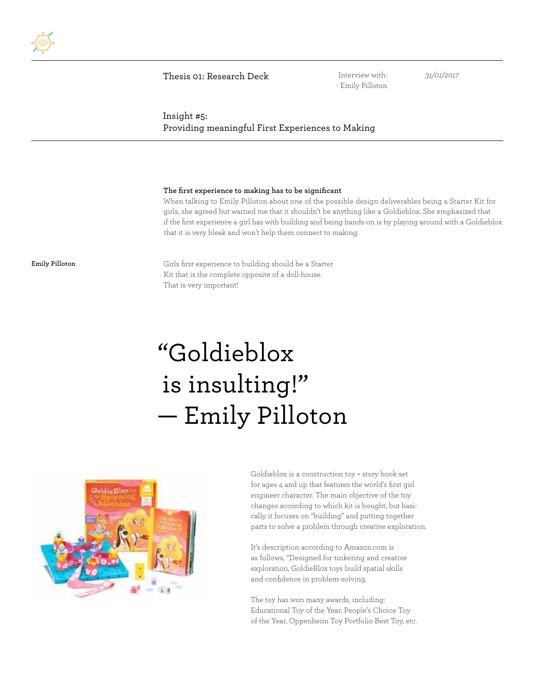

- Emily Pilloton

*31/01/2017*

# Insight #5: Providing meaningful First Experiences to Making

#### **The first experience to making has to be significant**

When talking to Emily Pilloton about one of the possible design deliverables being a Starter Kit for girls, she agreed but warned me that it shouldn't be anything like a Goldieblox. She emphasized that if the first experience a girl has with building and being hands-on is by playing around with a Goldieblox that it is very bleak and won't help them connect to making.

**Emily Pilloton**

Girls first experience to building should be a Starter Kit that is the complete opposite of a doll-house. That is very important!

# "Goldieblox is insulting!" — Emily Pilloton



Goldieblox is a construction toy + story book set for ages 4 and up that features the world's first girl engineer character. The main objective of the toy changes according to which kit is bought, but basically it focuses on "building" and putting together parts to solve a problem through creative exploration.

It's description according to Amazon.com is as follows, "Designed for tinkering and creative exploration, GoldieBlox toys build spatial skills and confidence in problem-solving.

The toy has won many awards, including: Educational Toy of the Year, People's Choice Toy of the Year, Oppenheim Toy Portfolio Best Toy, etc.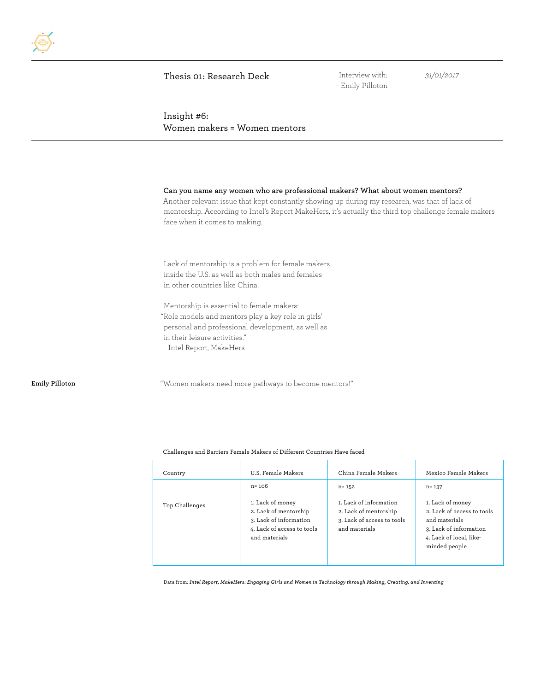- Emily Pilloton

*31/01/2017*

Insight #6: Women makers = Women mentors

#### **Can you name any women who are professional makers? What about women mentors?**

Another relevant issue that kept constantly showing up during my research, was that of lack of mentorship. According to Intel's Report MakeHers, it's actually the third top challenge female makers face when it comes to making.

Lack of mentorship is a problem for female makers inside the U.S. as well as both males and females in other countries like China.

Mentorship is essential to female makers: "Role models and mentors play a key role in girls' personal and professional development, as well as in their leisure activities." — Intel Report, MakeHers

**Emily Pilloton** "Women makers need more pathways to become mentors!"

#### Challenges and Barriers Female Makers of Different Countries Have faced

| Country        | U.S. Female Makers                                                                                                 | China Female Makers                                                                            | Mexico Female Makers                                                                                                                  |
|----------------|--------------------------------------------------------------------------------------------------------------------|------------------------------------------------------------------------------------------------|---------------------------------------------------------------------------------------------------------------------------------------|
|                | $n = 106$                                                                                                          | $n = 152$                                                                                      | $n = 137$                                                                                                                             |
| Top Challenges | 1. Lack of money<br>2. Lack of mentorship<br>3. Lack of information<br>4. Lack of access to tools<br>and materials | 1. Lack of information<br>2. Lack of mentorship<br>3. Lack of access to tools<br>and materials | 1. Lack of money<br>2. Lack of access to tools<br>and materials<br>3. Lack of information<br>4. Lack of local, like-<br>minded people |

Data from: *Intel Report, MakeHers: Engaging Girls and Women in Technology through Making, Creating, and Inventing*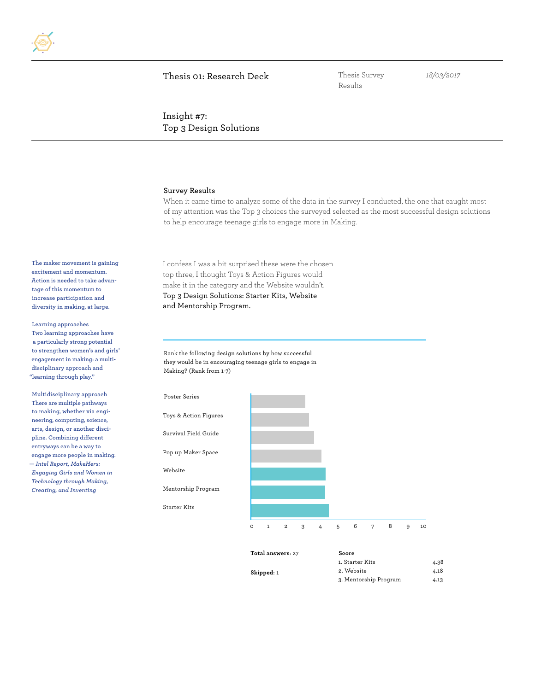Results

*18/03/2017*

Insight #7: Top 3 Design Solutions

#### **Survey Results**

When it came time to analyze some of the data in the survey I conducted, the one that caught most of my attention was the Top 3 choices the surveyed selected as the most successful design solutions to help encourage teenage girls to engage more in Making.

I confess I was a bit surprised these were the chosen top three, I thought Toys & Action Figures would make it in the category and the Website wouldn't. Top 3 Design Solutions: Starter Kits, Website and Mentorship Program.

**Learning approaches Two learning approaches have a particularly strong potential to strengthen women's and girls' engagement in making: a multidisciplinary approach and** 

**Multidisciplinary approach There are multiple pathways to making, whether via engineering, computing, science, arts, design, or another discipline. Combining different entryways can be a way to engage more people in making. —** *Intel Report, MakeHers: Engaging Girls and Women in Technology through Making, Creating, and Inventing*

**"learning through play."**

**The maker movement is gaining excitement and momentum. Action is needed to take advantage of this momentum to increase participation and diversity in making, at large.**

> Rank the following design solutions by how successful they would be in encouraging teenage girls to engage in Making? (Rank from 1-7)

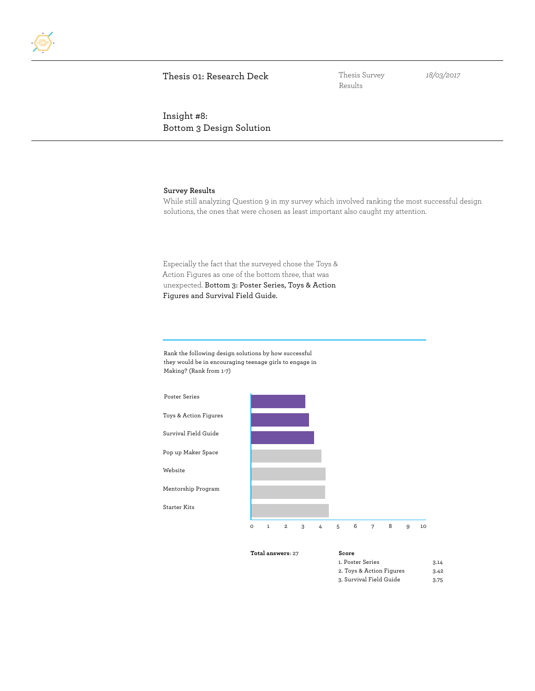

Results

*18/03/2017*

Insight #8: Bottom 3 Design Solution

#### **Survey Results**

While still analyzing Question 9 in my survey which involved ranking the most successful design solutions, the ones that were chosen as least important also caught my attention.

Especially the fact that the surveyed chose the Toys & Action Figures as one of the bottom three, that was unexpected. Bottom 3: Poster Series, Toys & Action Figures and Survival Field Guide.

Rank the following design solutions by how successful they would be in encouraging teenage girls to engage in Making? (Rank from 1-7)



| <b>Total answers:</b> 27 | Score                    |      |
|--------------------------|--------------------------|------|
|                          | 1. Poster Series         | 3.14 |
|                          | 2. Toys & Action Figures | 3.42 |
|                          | 3. Survival Field Guide  | 3.75 |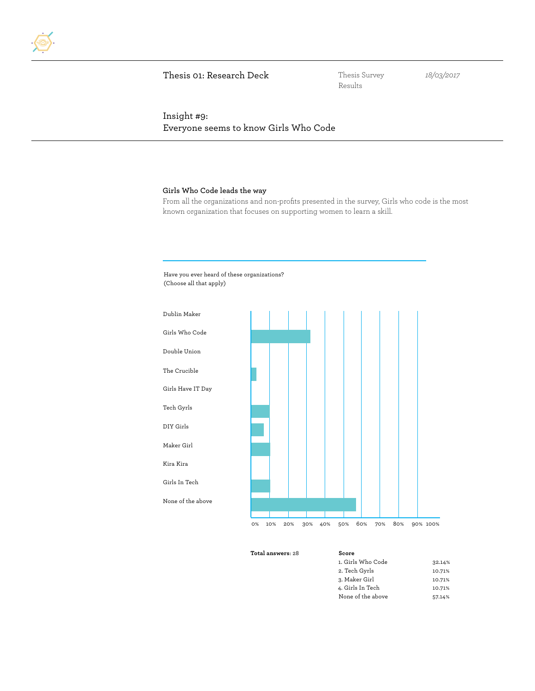Results

*18/03/2017*

# Insight #9: Everyone seems to know Girls Who Code

#### **Girls Who Code leads the way**

From all the organizations and non-profits presented in the survey, Girls who code is the most known organization that focuses on supporting women to learn a skill.





| <b>Total answers: 28</b> | Score             |        |
|--------------------------|-------------------|--------|
|                          | 1. Girls Who Code | 32.14% |
|                          | 2. Tech Gyrls     | 10.71% |
|                          | 3. Maker Girl     | 10.71% |
|                          | 4. Girls In Tech  | 10.71% |
|                          | None of the above | 57.14% |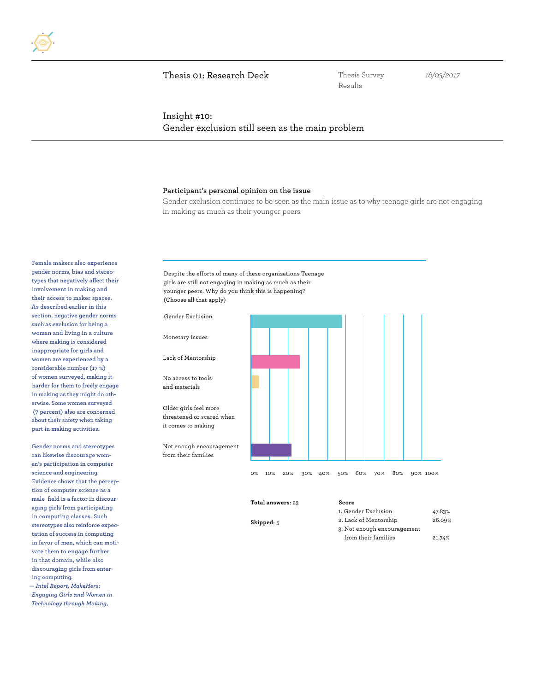Results

*18/03/2017*

## Insight #10: Gender exclusion still seen as the main problem

#### **Participant's personal opinion on the issue**

Gender exclusion continues to be seen as the main issue as to why teenage girls are not engaging in making as much as their younger peers.

**Female makers also experience gender norms, bias and stereotypes that negatively affect their involvement in making and their access to maker spaces. As described earlier in this section, negative gender norms such as exclusion for being a woman and living in a culture where making is considered inappropriate for girls and women are experienced by a considerable number (17 %) of women surveyed, making it harder for them to freely engage in making as they might do otherwise. Some women surveyed (7 percent) also are concerned about their safety when taking part in making activities.**

**Gender norms and stereotypes can likewise discourage women's participation in computer science and engineering. Evidence shows that the perception of computer science as a male field is a factor in discouraging girls from participating in computing classes. Such stereotypes also reinforce expectation of success in computing in favor of men, which can motivate them to engage further in that domain, while also discouraging girls from entering computing.**

**—** *Intel Report, MakeHers: Engaging Girls and Women in Technology through Making,* 

Despite the efforts of many of these organizations Teenage girls are still not engaging in making as much as their younger peers. Why do you think this is happening? (Choose all that apply)



**Skipped**: 5

- 1. Gender Exclusion 47.83% 2. Lack of Mentorship 26.09% 3. Not enough encouragement from their families 21.74%
	-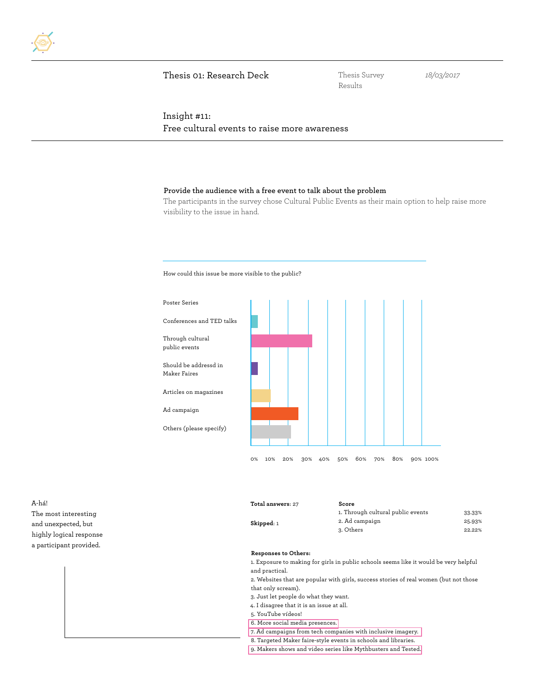Results

*18/03/2017*

# Insight #11: Free cultural events to raise more awareness

#### **Provide the audience with a free event to talk about the problem**

The participants in the survey chose Cultural Public Events as their main option to help raise more visibility to the issue in hand.

How could this issue be more visible to the public?



A-há! The most interesting and unexpected, but highly logical response a participant provided.

| Total answers: 27 | Score                             |        |
|-------------------|-----------------------------------|--------|
|                   | 1. Through cultural public events | 33.33% |
| Skipped: 1        | 2. Ad campaign                    | 25.93% |
|                   | 3. Others                         | 22.22% |
|                   |                                   |        |

#### **Responses to Others:**

1. Exposure to making for girls in public schools seems like it would be very helpful and practical.

2. Websites that are popular with girls, success stories of real women (but not those that only scream).

- 3. Just let people do what they want.
- 4. I disagree that it is an issue at all.
- 5. YouTube vídeos!
- 6. More social media presences.
- 7. Ad campaigns from tech companies with inclusive imagery.
- 8. Targeted Maker faire-style events in schools and libraries.
- 9. Makers shows and video series like Mythbusters and Tested.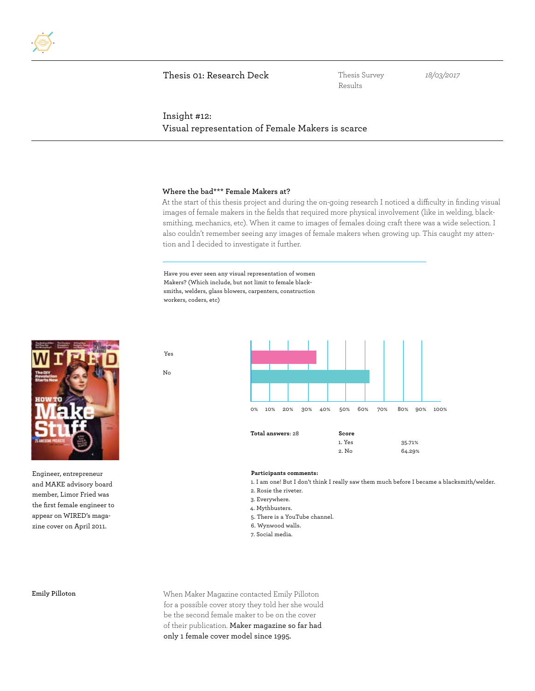Results

*18/03/2017*

### Insight #12: Visual representation of Female Makers is scarce

#### **Where the bad\*\*\* Female Makers at?**

At the start of this thesis project and during the on-going research I noticed a difficulty in finding visual images of female makers in the fields that required more physical involvement (like in welding, blacksmithing, mechanics, etc). When it came to images of females doing craft there was a wide selection. I also couldn't remember seeing any images of female makers when growing up. This caught my attention and I decided to investigate it further.

Have you ever seen any visual representation of women Makers? (Which include, but not limit to female blacksmiths, welders, glass blowers, carpenters, construction workers, coders, etc)

Yes

No



Engineer, entrepreneur and MAKE advisory board member, Limor Fried was the first female engineer to appear on WIRED's magazine cover on April 2011.



#### **Participants comments:**

1. I am one! But I don't think I really saw them much before I became a blacksmith/welder.

- 2. Rosie the riveter.
- 3. Everywhere.
- 4. Mythbusters.
- 5. There is a YouTube channel.
- 6. Wynwood walls.
- 7. Social media.

**Emily Pilloton**

When Maker Magazine contacted Emily Pilloton for a possible cover story they told her she would be the second female maker to be on the cover of their publication. Maker magazine so far had only 1 female cover model since 1995.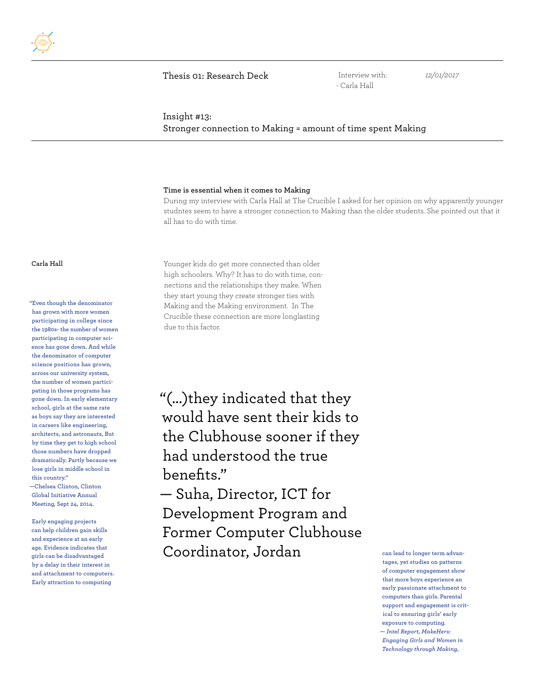Interview with: - Carla Hall

*12/01/2017*

#### Insight #13:

Stronger connection to Making = amount of time spent Making

#### **Time is essential when it comes to Making**

During my interview with Carla Hall at The Crucible I asked for her opinion on why apparently younger studntes seem to have a stronger connection to Making than the older students. She pointed out that it all has to do with time.

**"Even though the denominator has grown with more women participating in college since the 1980s- the number of women participating in computer science has gone down. And while the denominator of computer science positions has grown, across our university system, the number of women participating in those programs has gone down. In early elementary school, girls at the same rate as boys say they are interested in careers like engineering, architects, and astronauts, But by time they get to high school those numbers have dropped dramatically. Partly because we lose girls in middle school in this country."**

**—Chelsea Clinton, Clinton Global Initiative Annual Meeting, Sept 24, 2014.**

**Early engaging projects can help children gain skills and experience at an early age. Evidence indicates that girls can be disadvantaged by a delay in their interest in and attachment to computers. Early attraction to computing** 

**Carla Hall** Younger kids do get more connected than older high schoolers. Why? It has to do with time, connections and the relationships they make. When they start young they create stronger ties with Making and the Making environment. In The Crucible these connection are more longlasting due to this factor.

> "(...)they indicated that they would have sent their kids to the Clubhouse sooner if they had understood the true benefits."

— Suha, Director, ICT for Development Program and Former Computer Clubhouse Coordinator, Jordan

**can lead to longer term advantages, yet studies on patterns of computer engagement show that more boys experience an early passionate attachment to computers than girls. Parental support and engagement is critical to ensuring girls' early exposure to computing. —** *Intel Report, MakeHers: Engaging Girls and Women in Technology through Making,*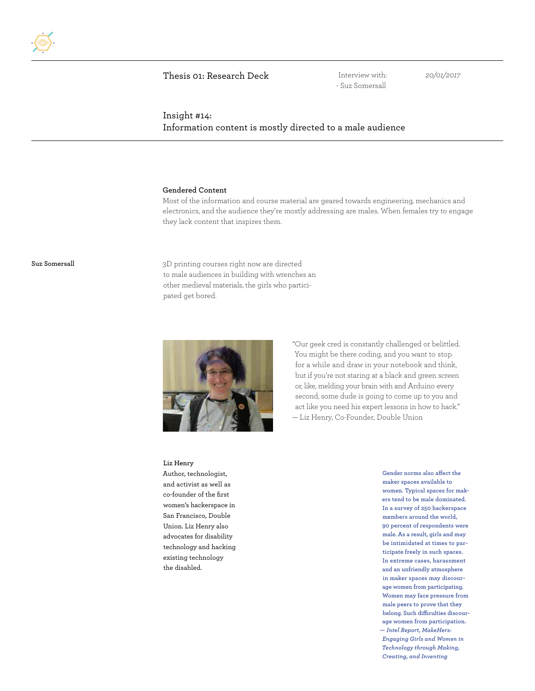Interview with: - Suz Somersall

*20/01/2017*

# Insight #14: Information content is mostly directed to a male audience

#### **Gendered Content**

Most of the information and course material are geared towards engineering, mechanics and electronics, and the audience they're mostly addressing are males. When females try to engage they lack content that inspires them.

**Suz Somersall** 3D printing courses right now are directed to male audiences in building with wrenches an other medieval materials, the girls who participated get bored.



"Our geek cred is constantly challenged or belittled. You might be there coding, and you want to stop for a while and draw in your notebook and think, but if you're not staring at a black and green screen or, like, melding your brain with and Arduino every second, some dude is going to come up to you and act like you need his expert lessons in how to hack." — Liz Henry, Co-Founder, Double Union

#### **Liz Henry**

Author, technologist, and activist as well as co-founder of the first women's hackerspace in San Francisco, Double Union. Liz Henry also advocates for disability technology and hacking existing technology the disabled.

**Gender norms also affect the maker spaces available to women. Typical spaces for makers tend to be male dominated. In a survey of 250 hackerspace members around the world, 90 percent of respondents were male. As a result, girls and may be intimidated at times to participate freely in such spaces. In extreme cases, harassment and an unfriendly atmosphere in maker spaces may discourage women from participating. Women may face pressure from male peers to prove that they belong. Such difficulties discourage women from participation. —** *Intel Report, MakeHers: Engaging Girls and Women in Technology through Making, Creating, and Inventing*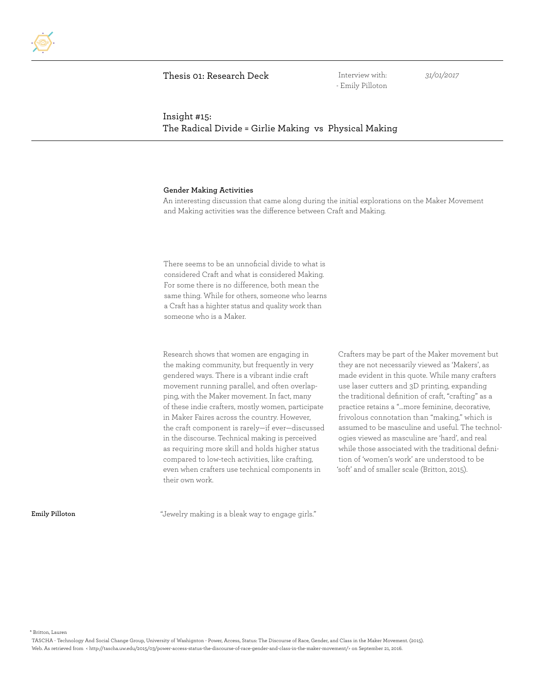Interview with: - Emily Pilloton *31/01/2017*

# Insight #15: The Radical Divide = Girlie Making vs Physical Making

#### **Gender Making Activities**

An interesting discussion that came along during the initial explorations on the Maker Movement and Making activities was the difference between Craft and Making.

There seems to be an unnoficial divide to what is considered Craft and what is considered Making. For some there is no difference, both mean the same thing. While for others, someone who learns a Craft has a highter status and quality work than someone who is a Maker.

Research shows that women are engaging in the making community, but frequently in very gendered ways. There is a vibrant indie craft movement running parallel, and often overlapping, with the Maker movement. In fact, many of these indie crafters, mostly women, participate in Maker Faires across the country. However, the craft component is rarely—if ever—discussed in the discourse. Technical making is perceived as requiring more skill and holds higher status compared to low-tech activities, like crafting, even when crafters use technical components in their own work.

Crafters may be part of the Maker movement but they are not necessarily viewed as 'Makers', as made evident in this quote. While many crafters use laser cutters and 3D printing, expanding the traditional definition of craft, "crafting" as a practice retains a "…more feminine, decorative, frivolous connotation than "making," which is assumed to be masculine and useful. The technologies viewed as masculine are 'hard', and real while those associated with the traditional definition of 'women's work' are understood to be 'soft' and of smaller scale (Britton, 2015).

**Emily Pilloton**

"Jewelry making is a bleak way to engage girls."

\* Britton, Lauren

TASCHA - Technology And Social Change Group, University of Washignton - Power, Access, Status: The Discourse of Race, Gender, and Class in the Maker Movement. (2015). Web. As retrieved from < http://tascha.uw.edu/2015/03/power-access-status-the-discourse-of-race-gender-and-class-in-the-maker-movement/> on September 21, 2016.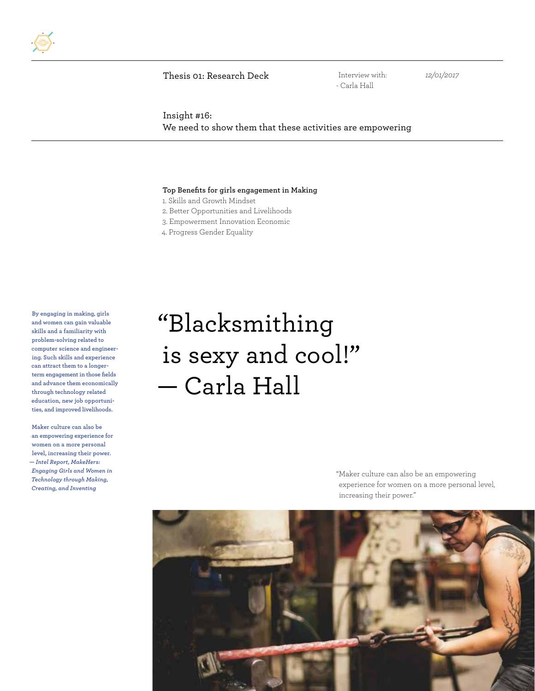

Interview with: - Carla Hall

*12/01/2017*

Insight #16: We need to show them that these activities are empowering

#### **Top Benefits for girls engagement in Making**

1. Skills and Growth Mindset

2. Better Opportunities and Livelihoods

3. Empowerment Innovation Economic

4. Progress Gender Equality

**By engaging in making, girls and women can gain valuable skills and a familiarity with problem-solving related to computer science and engineering. Such skills and experience can attract them to a longerterm engagement in those fields and advance them economically through technology related education, new job opportunities, and improved livelihoods.**

**Maker culture can also be an empowering experience for women on a more personal level, increasing their power. —** *Intel Report, MakeHers: Engaging Girls and Women in Technology through Making, Creating, and Inventing*

# "Blacksmithing is sexy and cool!" — Carla Hall

"Maker culture can also be an empowering experience for women on a more personal level, increasing their power."

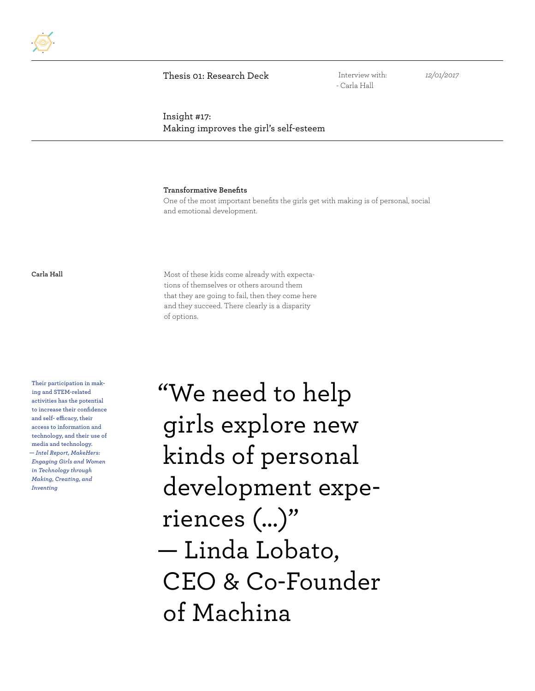Interview with: - Carla Hall

*12/01/2017*

# Insight #17: Making improves the girl's self-esteem

**Transformative Benefits**

One of the most important benefits the girls get with making is of personal, social and emotional development.

**Carla Hall** Most of these kids come already with expectations of themselves or others around them that they are going to fail, then they come here and they succeed. There clearly is a disparity of options.

**Their participation in making and STEM-related activities has the potential to increase their confidence and self- efficacy, their access to information and technology, and their use of media and technology. —** *Intel Report, MakeHers: Engaging Girls and Women in Technology through Making, Creating, and Inventing*

"We need to help girls explore new kinds of personal development experiences (...)" — Linda Lobato, CEO & Co-Founder of Machina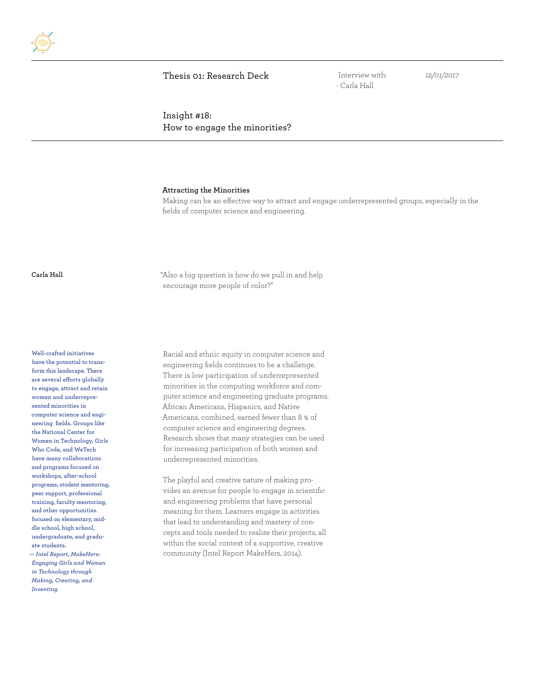Interview with: - Carla Hall

*12/01/2017*

Insight #18: How to engage the minorities?

#### **Attracting the Minorities**

Making can be an effective way to attract and engage underrepresented groups, especially in the fields of computer science and engineering.

**Carla Hall** "Also a big question is how do we pull in and help encourage more people of color?"

**Well-crafted initiatives have the potential to transform this landscape. There are several efforts globally to engage, attract and retain women and underrepresented minorities in computer science and engineering fields. Groups like the National Center for Women in Technology, Girls Who Code, and WeTech have many collaborations and programs focused on workshops, after-school programs, student mentoring, peer support, professional training, faculty mentoring, and other opportunities focused on elementary, middle school, high school, undergraduate, and graduate students. —** *Intel Report, MakeHers: Engaging Girls and Women in Technology through Making, Creating, and Inventing*

Racial and ethnic equity in computer science and engineering fields continues to be a challenge. There is low participation of underrepresented minorities in the computing workforce and computer science and engineering graduate programs. African Americans, Hispanics, and Native Americans, combined, earned fewer than 8 % of computer science and engineering degrees. Research shows that many strategies can be used for increasing participation of both women and underrepresented minorities.

The playful and creative nature of making provides an avenue for people to engage in scientific and engineering problems that have personal meaning for them. Learners engage in activities that lead to understanding and mastery of concepts and tools needed to realize their projects, all within the social context of a supportive, creative community (Intel Report MakeHers, 2014).